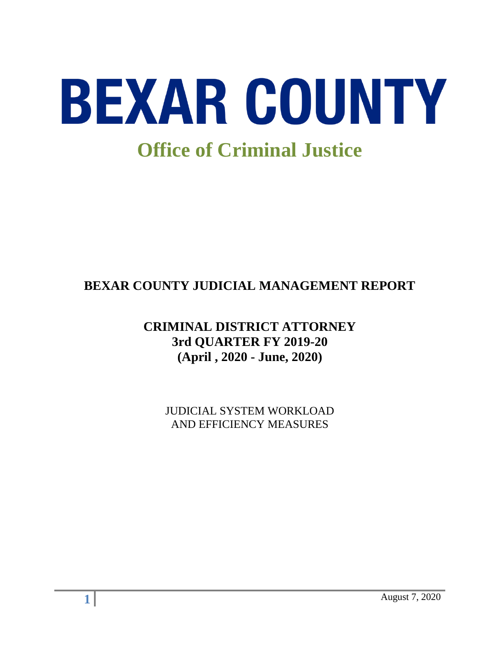

# **BEXAR COUNTY JUDICIAL MANAGEMENT REPORT**

## **CRIMINAL DISTRICT ATTORNEY 3rd QUARTER FY 2019-20 (April , 2020 - June, 2020)**

JUDICIAL SYSTEM WORKLOAD AND EFFICIENCY MEASURES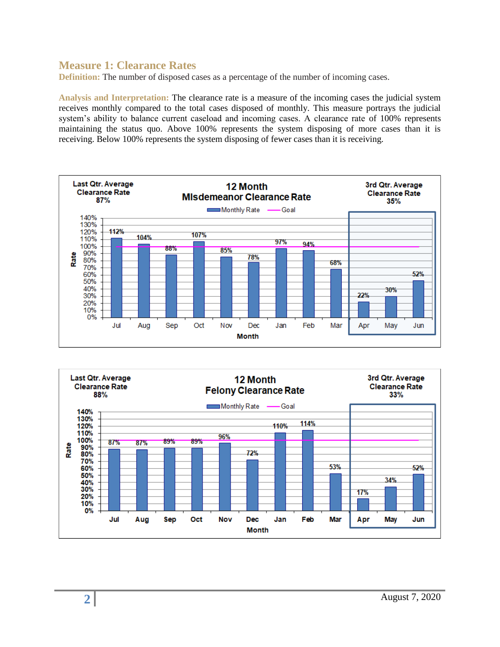#### **Measure 1: Clearance Rates**

**Definition:** The number of disposed cases as a percentage of the number of incoming cases.

**Analysis and Interpretation:** The clearance rate is a measure of the incoming cases the judicial system receives monthly compared to the total cases disposed of monthly. This measure portrays the judicial system's ability to balance current caseload and incoming cases. A clearance rate of 100% represents maintaining the status quo. Above 100% represents the system disposing of more cases than it is receiving. Below 100% represents the system disposing of fewer cases than it is receiving.



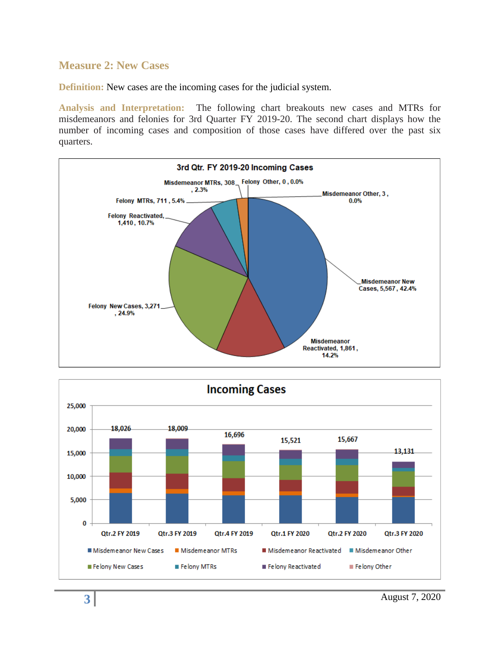#### **Measure 2: New Cases**

**Definition:** New cases are the incoming cases for the judicial system.

**Analysis and Interpretation:** The following chart breakouts new cases and MTRs for misdemeanors and felonies for 3rd Quarter FY 2019-20. The second chart displays how the number of incoming cases and composition of those cases have differed over the past six quarters.



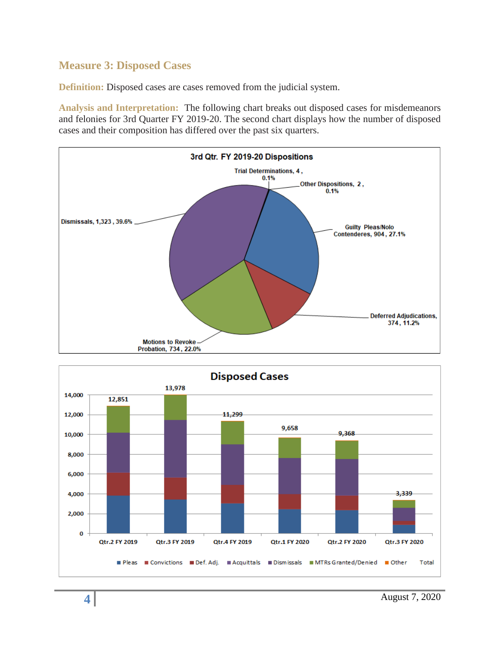### **Measure 3: Disposed Cases**

**Definition:** Disposed cases are cases removed from the judicial system.

**Analysis and Interpretation:** The following chart breaks out disposed cases for misdemeanors and felonies for 3rd Quarter FY 2019-20. The second chart displays how the number of disposed cases and their composition has differed over the past six quarters.



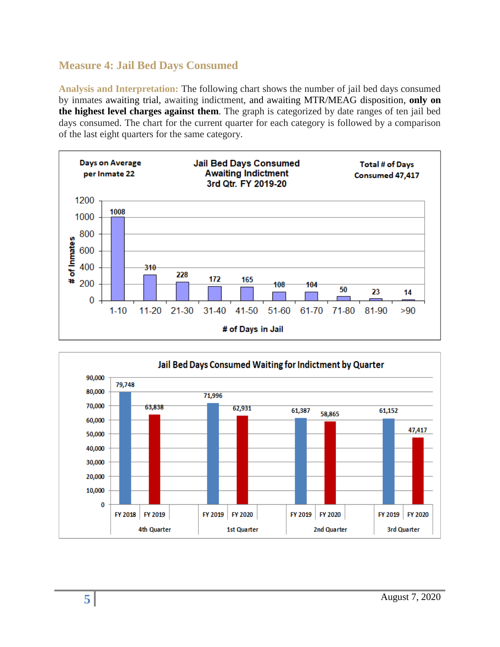## **Measure 4: Jail Bed Days Consumed**

**Analysis and Interpretation:** The following chart shows the number of jail bed days consumed by inmates awaiting trial, awaiting indictment, and awaiting MTR/MEAG disposition, **only on the highest level charges against them**. The graph is categorized by date ranges of ten jail bed days consumed. The chart for the current quarter for each category is followed by a comparison of the last eight quarters for the same category.



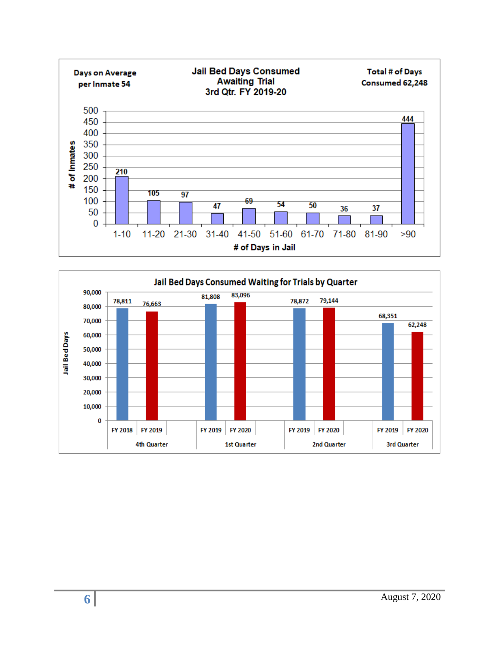

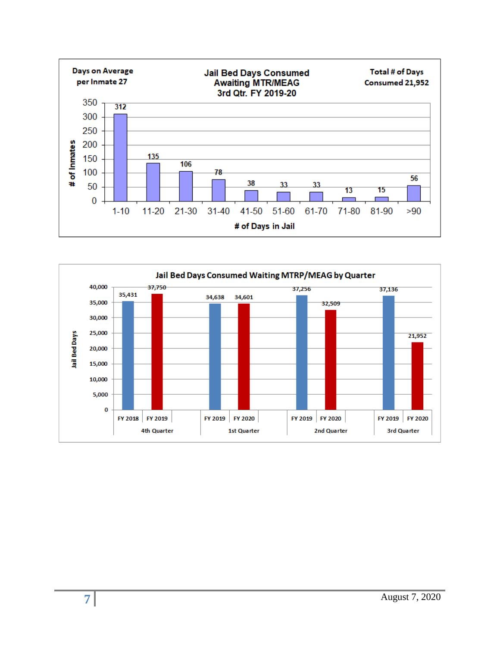

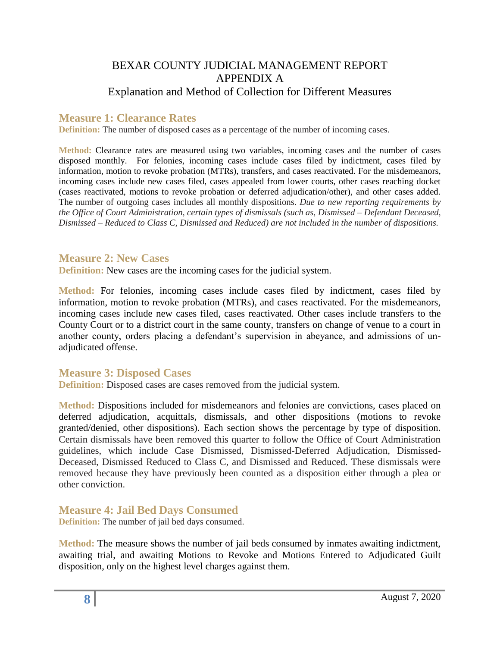## BEXAR COUNTY JUDICIAL MANAGEMENT REPORT APPENDIX A Explanation and Method of Collection for Different Measures

#### **Measure 1: Clearance Rates**

**Definition:** The number of disposed cases as a percentage of the number of incoming cases.

**Method:** Clearance rates are measured using two variables, incoming cases and the number of cases disposed monthly. For felonies, incoming cases include cases filed by indictment, cases filed by information, motion to revoke probation (MTRs), transfers, and cases reactivated. For the misdemeanors, incoming cases include new cases filed, cases appealed from lower courts, other cases reaching docket (cases reactivated, motions to revoke probation or deferred adjudication/other), and other cases added. The number of outgoing cases includes all monthly dispositions. *Due to new reporting requirements by the Office of Court Administration, certain types of dismissals (such as, Dismissed – Defendant Deceased, Dismissed – Reduced to Class C, Dismissed and Reduced) are not included in the number of dispositions.*

#### **Measure 2: New Cases**

**Definition:** New cases are the incoming cases for the judicial system.

**Method:** For felonies, incoming cases include cases filed by indictment, cases filed by information, motion to revoke probation (MTRs), and cases reactivated. For the misdemeanors, incoming cases include new cases filed, cases reactivated. Other cases include transfers to the County Court or to a district court in the same county, transfers on change of venue to a court in another county, orders placing a defendant's supervision in abeyance, and admissions of unadjudicated offense.

#### **Measure 3: Disposed Cases**

**Definition:** Disposed cases are cases removed from the judicial system.

**Method:** Dispositions included for misdemeanors and felonies are convictions, cases placed on deferred adjudication, acquittals, dismissals, and other dispositions (motions to revoke granted/denied, other dispositions). Each section shows the percentage by type of disposition. Certain dismissals have been removed this quarter to follow the Office of Court Administration guidelines, which include Case Dismissed, Dismissed-Deferred Adjudication, Dismissed-Deceased, Dismissed Reduced to Class C, and Dismissed and Reduced. These dismissals were removed because they have previously been counted as a disposition either through a plea or other conviction.

**Measure 4: Jail Bed Days Consumed** 

**Definition:** The number of jail bed days consumed.

**Method:** The measure shows the number of jail beds consumed by inmates awaiting indictment, awaiting trial, and awaiting Motions to Revoke and Motions Entered to Adjudicated Guilt disposition, only on the highest level charges against them.